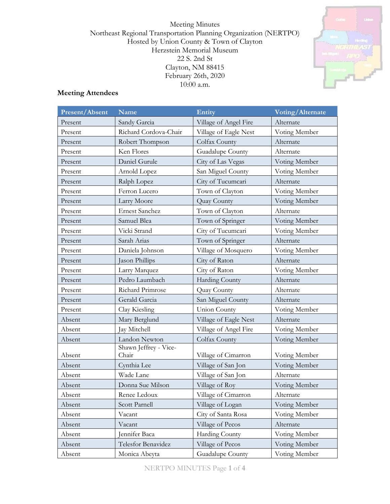Meeting Minutes Northeast Regional Transportation Planning Organization (NERTPO) Hosted by Union County & Town of Clayton Herzstein Memorial Museum 22 S. 2nd St Clayton, NM 88415 February 26th, 2020 10:00 a.m.



# **Meeting Attendees**

| Present/Absent | Name                           | Entity                | Voting/Alternate |  |
|----------------|--------------------------------|-----------------------|------------------|--|
| Present        | Sandy Garcia                   | Village of Angel Fire | Alternate        |  |
| Present        | Richard Cordova-Chair          | Village of Eagle Nest | Voting Member    |  |
| Present        | Robert Thompson                | Colfax County         | Alternate        |  |
| Present        | Ken Flores                     | Guadalupe County      | Alternate        |  |
| Present        | Daniel Gurule                  | City of Las Vegas     | Voting Member    |  |
| Present        | Arnold Lopez                   | San Miguel County     | Voting Member    |  |
| Present        | Ralph Lopez                    | City of Tucumcari     | Alternate        |  |
| Present        | Ferron Lucero                  | Town of Clayton       | Voting Member    |  |
| Present        | Larry Moore                    | Quay County           | Voting Member    |  |
| Present        | <b>Ernest Sanchez</b>          | Town of Clayton       | Alternate        |  |
| Present        | Samuel Blea                    | Town of Springer      | Voting Member    |  |
| Present        | Vicki Strand                   | City of Tucumcari     | Voting Member    |  |
| Present        | Sarah Arias                    | Town of Springer      | Alternate        |  |
| Present        | Daniela Johnson                | Village of Mosquero   | Voting Member    |  |
| Present        | Jason Phillips                 | City of Raton         | Alternate        |  |
| Present        | Larry Marquez                  | City of Raton         | Voting Member    |  |
| Present        | Pedro Laumbach                 | Harding County        | Alternate        |  |
| Present        | Richard Primrose               | Quay County           | Alternate        |  |
| Present        | Gerald Garcia                  | San Miguel County     | Alternate        |  |
| Present        | Clay Kiesling                  | <b>Union County</b>   | Voting Member    |  |
| Absent         | Mary Berglund                  | Village of Eagle Nest | Alternate        |  |
| Absent         | Jay Mitchell                   | Village of Angel Fire | Voting Member    |  |
| Absent         | Landon Newton                  | Colfax County         | Voting Member    |  |
| Absent         | Shawn Jeffrey - Vice-<br>Chair | Village of Cimarron   | Voting Member    |  |
| Absent         | Cynthia Lee                    | Village of San Jon    | Voting Member    |  |
| Absent         | Wade Lane                      | Village of San Jon    | Alternate        |  |
| Absent         | Donna Sue Milson               | Village of Roy        | Voting Member    |  |
| Absent         | Renee Ledoux                   | Village of Cimarron   | Alternate        |  |
| Absent         | Scott Parnell                  | Village of Logan      | Voting Member    |  |
| Absent         | Vacant                         | City of Santa Rosa    | Voting Member    |  |
| Absent         | Vacant                         | Village of Pecos      | Alternate        |  |
| Absent         | Jennifer Baca                  | Harding County        | Voting Member    |  |
| Absent         | Telesfor Benavidez             | Village of Pecos      | Voting Member    |  |
| Absent         | Monica Abeyta                  | Guadalupe County      | Voting Member    |  |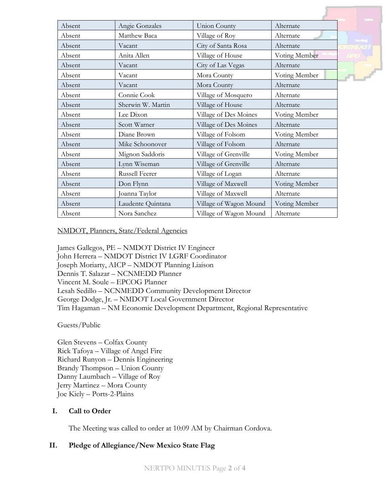|        |                       |                        |               | <b>United</b> |
|--------|-----------------------|------------------------|---------------|---------------|
| Absent | Angie Gonzales        | <b>Union County</b>    | Alternate     |               |
| Absent | Matthew Baca          | Village of Roy         | Alternate     |               |
| Absent | Vacant                | City of Santa Rosa     | Alternate     | Hanting       |
| Absent | Anita Allen           | Village of House       | Voting Member |               |
| Absent | Vacant                | City of Las Vegas      | Alternate     |               |
| Absent | Vacant                | Mora County            | Voting Member |               |
| Absent | Vacant                | Mora County            | Alternate     |               |
| Absent | Connie Cook           | Village of Mosquero    | Alternate     |               |
| Absent | Sherwin W. Martin     | Village of House       | Alternate     |               |
| Absent | Lee Dixon             | Village of Des Moines  | Voting Member |               |
| Absent | Scott Warner          | Village of Des Moines  | Alternate     |               |
| Absent | Diane Brown           | Village of Folsom      | Voting Member |               |
| Absent | Mike Schoonover       | Village of Folsom      | Alternate     |               |
| Absent | Mignon Saddoris       | Village of Grenville   | Voting Member |               |
| Absent | Lynn Wiseman          | Village of Grenville   | Alternate     |               |
| Absent | <b>Russell Feerer</b> | Village of Logan       | Alternate     |               |
| Absent | Don Flynn             | Village of Maxwell     | Voting Member |               |
| Absent | Joanna Taylor         | Village of Maxwell     | Alternate     |               |
| Absent | Laudente Quintana     | Village of Wagon Mound | Voting Member |               |
| Absent | Nora Sanchez          | Village of Wagon Mound | Alternate     |               |

NMDOT, Planners, State/Federal Agencies

James Gallegos, PE – NMDOT District IV Engineer John Herrera – NMDOT District IV LGRF Coordinator Joseph Moriarty, AICP – NMDOT Planning Liaison Dennis T. Salazar – NCNMEDD Planner Vincent M. Soule – EPCOG Planner Lesah Sedillo – NCNMEDD Community Development Director George Dodge, Jr. – NMDOT Local Government Director Tim Hagaman – NM Economic Development Department, Regional Representative

Guests/Public

Glen Stevens – Colfax County Rick Tafoya – Village of Angel Fire Richard Runyon – Dennis Engineering Brandy Thompson – Union County Danny Laumbach – Village of Roy Jerry Martinez – Mora County Joe Kiely – Ports-2-Plains

### **I. Call to Order**

The Meeting was called to order at 10:09 AM by Chairman Cordova.

### **II. Pledge of Allegiance/New Mexico State Flag**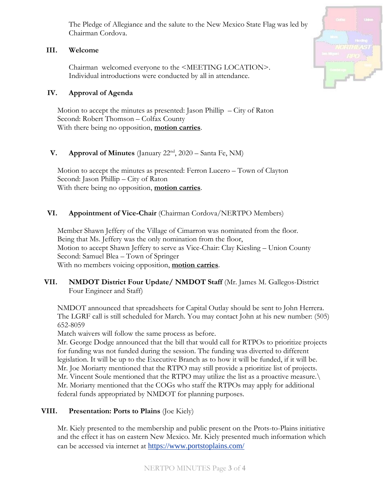The Pledge of Allegiance and the salute to the New Mexico State Flag was led by Chairman Cordova.

### **III. Welcome**

Chairman welcomed everyone to the <MEETING LOCATION>. Individual introductions were conducted by all in attendance.

## **IV. Approval of Agenda**

Motion to accept the minutes as presented: Jason Phillip  $-$  City of Raton Second: Robert Thomson – Colfax County With there being no opposition, **motion carries**.

# **V. Approval of Minutes** (January 22<sup>nd</sup>, 2020 – Santa Fe, NM)

Motion to accept the minutes as presented: Ferron Lucero – Town of Clayton Second: Jason Phillip – City of Raton With there being no opposition, **motion carries**.

# **VI. Appointment of Vice-Chair** (Chairman Cordova/NERTPO Members)

Member Shawn Jeffery of the Village of Cimarron was nominated from the floor. Being that Ms. Jeffery was the only nomination from the floor, Motion to accept Shawn Jeffery to serve as Vice-Chair: Clay Kiesling – Union County Second: Samuel Blea – Town of Springer With no members voicing opposition, **motion carries**.

# **VII. NMDOT District Four Update/ NMDOT Staff** (Mr. James M. Gallegos-District Four Engineer and Staff)

NMDOT announced that spreadsheets for Capital Outlay should be sent to John Herrera. The LGRF call is still scheduled for March. You may contact John at his new number: (505) 652-8059

Match waivers will follow the same process as before.

Mr. George Dodge announced that the bill that would call for RTPOs to prioritize projects for funding was not funded during the session. The funding was diverted to different legislation. It will be up to the Executive Branch as to how it will be funded, if it will be. Mr. Joe Moriarty mentioned that the RTPO may still provide a prioritize list of projects. Mr. Vincent Soule mentioned that the RTPO may utilize the list as a proactive measure.\ Mr. Moriarty mentioned that the COGs who staff the RTPOs may apply for additional federal funds appropriated by NMDOT for planning purposes.

# **VIII. Presentation: Ports to Plains** (Joe Kiely)

Mr. Kiely presented to the membership and public present on the Prots-to-Plains initiative and the effect it has on eastern New Mexico. Mr. Kiely presented much information which can be accessed via internet at <https://www.portstoplains.com/>